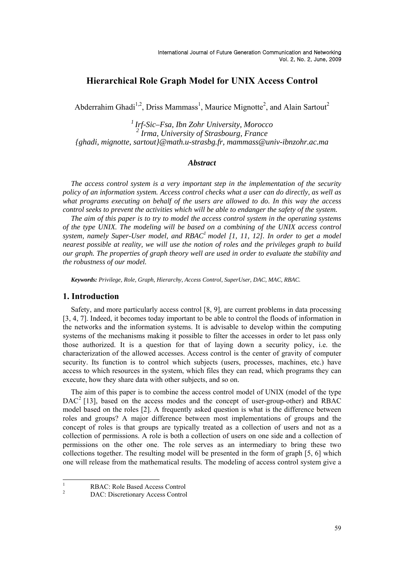# **Hierarchical Role Graph Model for UNIX Access Control**

Abderrahim Ghadi<sup>1,2</sup>, Driss Mammass<sup>1</sup>, Maurice Mignotte<sup>2</sup>, and Alain Sartout<sup>2</sup>

*1 Irf-Sic–Fsa, Ibn Zohr University, Morocco 2 Irma, University of Strasbourg, France {ghadi, mignotte, sartout}@math.u-strasbg.fr, mammass@univ-ibnzohr.ac.ma* 

#### *Abstract*

*The access control system is a very important step in the implementation of the security policy of an information system. Access control checks what a user can do directly, as well as what programs executing on behalf of the users are allowed to do. In this way the access control seeks to prevent the activities which will be able to endanger the safety of the system.* 

*The aim of this paper is to try to model the access control system in the operating systems of the type UNIX. The modeling will be based on a combining of the UNIX access control*  system, namely Super-User model, and RBAC<sup>1</sup> model [1, 11, 12]. In order to get a model *nearest possible at reality, we will use the notion of roles and the privileges graph to build our graph. The properties of graph theory well are used in order to evaluate the stability and the robustness of our model.* 

*Keywords: Privilege, Role, Graph, Hierarchy, Access Control, SuperUser, DAC, MAC, RBAC.* 

#### **1. Introduction**

Safety, and more particularly access control [8, 9], are current problems in data processing [3, 4, 7]. Indeed, it becomes today important to be able to control the floods of information in the networks and the information systems. It is advisable to develop within the computing systems of the mechanisms making it possible to filter the accesses in order to let pass only those authorized. It is a question for that of laying down a security policy, i.e. the characterization of the allowed accesses. Access control is the center of gravity of computer security. Its function is to control which subjects (users, processes, machines, etc.) have access to which resources in the system, which files they can read, which programs they can execute, how they share data with other subjects, and so on.

The aim of this paper is to combine the access control model of UNIX (model of the type  $DAC<sup>2</sup>$  [13], based on the access modes and the concept of user-group-other) and RBAC model based on the roles [2]. A frequently asked question is what is the difference between roles and groups? A major difference between most implementations of groups and the concept of roles is that groups are typically treated as a collection of users and not as a collection of permissions. A role is both a collection of users on one side and a collection of permissions on the other one. The role serves as an intermediary to bring these two collections together. The resulting model will be presented in the form of graph [5, 6] which one will release from the mathematical results. The modeling of access control system give a

<sup>|&</sup>lt;br>|<br>| RBAC: Role Based Access Control 2

DAC: Discretionary Access Control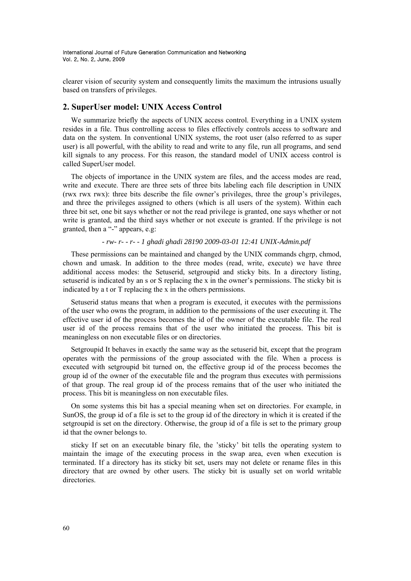clearer vision of security system and consequently limits the maximum the intrusions usually based on transfers of privileges.

## **2. SuperUser model: UNIX Access Control**

We summarize briefly the aspects of UNIX access control. Everything in a UNIX system resides in a file. Thus controlling access to files effectively controls access to software and data on the system. In conventional UNIX systems, the root user (also referred to as super user) is all powerful, with the ability to read and write to any file, run all programs, and send kill signals to any process. For this reason, the standard model of UNIX access control is called SuperUser model.

The objects of importance in the UNIX system are files, and the access modes are read, write and execute. There are three sets of three bits labeling each file description in UNIX (rwx rwx rwx): three bits describe the file owner's privileges, three the group's privileges, and three the privileges assigned to others (which is all users of the system). Within each three bit set, one bit says whether or not the read privilege is granted, one says whether or not write is granted, and the third says whether or not execute is granted. If the privilege is not granted, then a "-" appears, e.g:

#### *- rw- r- - r- - 1 ghadi ghadi 28190 2009-03-01 12:41 UNIX-Admin.pdf*

These permissions can be maintained and changed by the UNIX commands chgrp, chmod, chown and umask. In addition to the three modes (read, write, execute) we have three additional access modes: the Setuserid, setgroupid and sticky bits. In a directory listing, setuserid is indicated by an s or S replacing the x in the owner's permissions. The sticky bit is indicated by a t or T replacing the x in the others permissions.

Setuserid status means that when a program is executed, it executes with the permissions of the user who owns the program, in addition to the permissions of the user executing it. The effective user id of the process becomes the id of the owner of the executable file. The real user id of the process remains that of the user who initiated the process. This bit is meaningless on non executable files or on directories.

Setgroupid It behaves in exactly the same way as the setuserid bit, except that the program operates with the permissions of the group associated with the file. When a process is executed with setgroupid bit turned on, the effective group id of the process becomes the group id of the owner of the executable file and the program thus executes with permissions of that group. The real group id of the process remains that of the user who initiated the process. This bit is meaningless on non executable files.

On some systems this bit has a special meaning when set on directories. For example, in SunOS, the group id of a file is set to the group id of the directory in which it is created if the setgroupid is set on the directory. Otherwise, the group id of a file is set to the primary group id that the owner belongs to.

sticky If set on an executable binary file, the 'sticky' bit tells the operating system to maintain the image of the executing process in the swap area, even when execution is terminated. If a directory has its sticky bit set, users may not delete or rename files in this directory that are owned by other users. The sticky bit is usually set on world writable directories.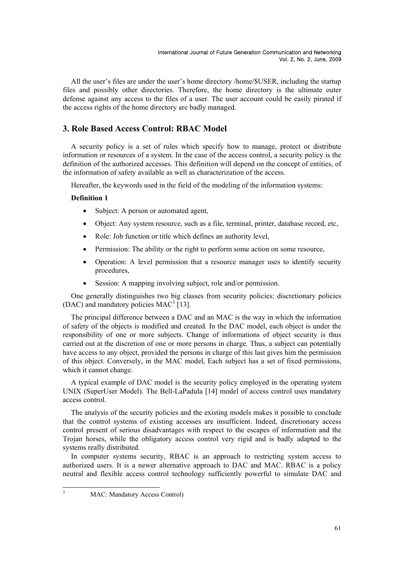All the user's files are under the user's home directory /home/\$USER, including the startup files and possibly other directories. Therefore, the home directory is the ultimate outer defense against any access to the files of a user. The user account could be easily pirated if the access rights of the home directory are badly managed.

# **3. Role Based Access Control: RBAC Model**

A security policy is a set of rules which specify how to manage, protect or distribute information or resources of a system. In the case of the access control, a security policy is the definition of the authorized accesses. This definition will depend on the concept of entities, of the information of safety available as well as characterization of the access.

Hereafter, the keywords used in the field of the modeling of the information systems:

#### **Definition 1**

- Subject: A person or automated agent,
- Object: Any system resource, such as a file, terminal, printer, database record, etc,
- Role: Job function or title which defines an authority level,
- Permission: The ability or the right to perform some action on some resource,
- Operation: A level permission that a resource manager uses to identify security procedures,
- Session: A mapping involving subject, role and/or permission.

One generally distinguishes two big classes from security policies: discretionary policies (DAC) and mandatory policies  $MAC^3$  [13].

The principal difference between a DAC and an MAC is the way in which the information of safety of the objects is modified and created. In the DAC model, each object is under the responsibility of one or more subjects. Change of informations of object security is thus carried out at the discretion of one or more persons in charge. Thus, a subject can potentially have access to any object, provided the persons in charge of this last gives him the permission of this object. Conversely, in the MAC model, Each subject has a set of fixed permissions, which it cannot change.

A typical example of DAC model is the security policy employed in the operating system UNIX (SuperUser Model). The Bell-LaPadula [14] model of access control uses mandatory access control.

The analysis of the security policies and the existing models makes it possible to conclude that the control systems of existing accesses are insufficient. Indeed, discretionary access control present of serious disadvantages with respect to the escapes of information and the Trojan horses, while the obligatory access control very rigid and is badly adapted to the systems really distributed.

In computer systems security, RBAC is an approach to restricting system access to authorized users. It is a newer alternative approach to DAC and MAC. RBAC is a policy neutral and flexible access control technology sufficiently powerful to simulate DAC and

MAC: Mandatory Access Control)

<sup>2</sup><br>3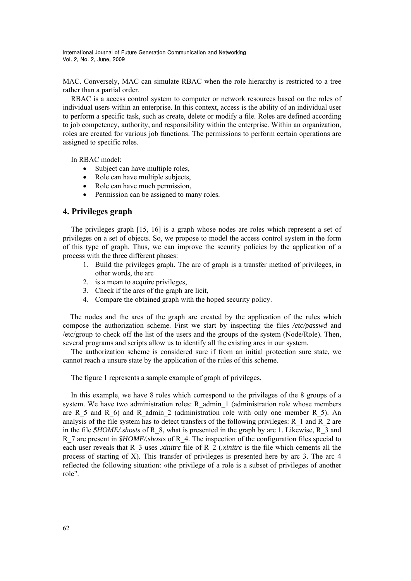MAC. Conversely, MAC can simulate RBAC when the role hierarchy is restricted to a tree rather than a partial order.

RBAC is a access control system to computer or network resources based on the roles of individual users within an enterprise. In this context, access is the ability of an individual user to perform a specific task, such as create, delete or modify a file. Roles are defined according to job competency, authority, and responsibility within the enterprise. Within an organization, roles are created for various job functions. The permissions to perform certain operations are assigned to specific roles.

In RBAC model:

- $\bullet$  Subject can have multiple roles.
- Role can have multiple subjects,
- Role can have much permission,
- Permission can be assigned to many roles.

## **4. Privileges graph**

The privileges graph [15, 16] is a graph whose nodes are roles which represent a set of privileges on a set of objects. So, we propose to model the access control system in the form of this type of graph. Thus, we can improve the security policies by the application of a process with the three different phases:

- 1. Build the privileges graph. The arc of graph is a transfer method of privileges, in other words, the arc
- 2. is a mean to acquire privileges,
- 3. Check if the arcs of the graph are licit,
- 4. Compare the obtained graph with the hoped security policy.

 The nodes and the arcs of the graph are created by the application of the rules which compose the authorization scheme. First we start by inspecting the files */etc/passwd* and /etc/group to check off the list of the users and the groups of the system (Node/Role). Then, several programs and scripts allow us to identify all the existing arcs in our system.

The authorization scheme is considered sure if from an initial protection sure state, we cannot reach a unsure state by the application of the rules of this scheme.

The figure 1 represents a sample example of graph of privileges.

In this example, we have 8 roles which correspond to the privileges of the 8 groups of a system. We have two administration roles: R\_admin 1 (administration role whose members are R 5 and R 6) and R admin 2 (administration role with only one member R 5). An analysis of the file system has to detect transfers of the following privileges:  $R_1$  and  $R_2$  are in the file *\$HOME/.shosts* of R\_8, what is presented in the graph by arc 1. Likewise, R\_3 and R\_7 are present in *\$HOME/.shosts* of R\_4. The inspection of the configuration files special to each user reveals that R\_3 uses *.xinitrc* file of R\_2 (*.xinitrc* is the file which cements all the process of starting of X). This transfer of privileges is presented here by arc 3. The arc 4 reflected the following situation: «the privilege of a role is a subset of privileges of another role".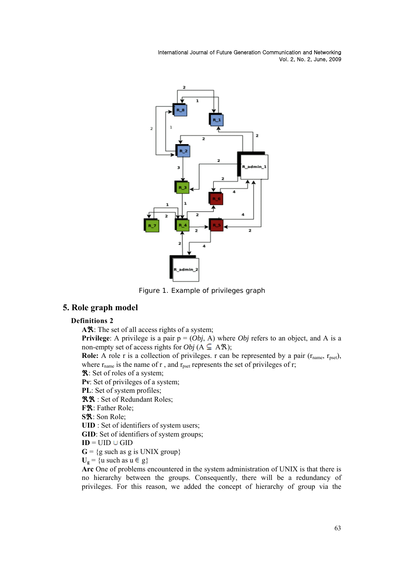

Figure 1. Example of privileges graph

# **5. Role graph model**

#### **Definitions 2**

AR: The set of all access rights of a system;

**Privilege**: A privilege is a pair  $p = (Obj, A)$  where *Obj* refers to an object, and A is a non-empty set of access rights for *Obj*  $(A \subseteq A\mathcal{R})$ ;

**Role:** A role r is a collection of privileges. r can be represented by a pair  $(r_{name}, r_{pset})$ , where  $r_{name}$  is the name of r, and  $r_{pset}$  represents the set of privileges of r;

**R**: Set of roles of a system;

**Pν**: Set of privileges of a system;

**PL**: Set of system profiles;

**RR** : Set of Redundant Roles;

**F<sup>R</sup>**: Father Role:

**S**ℜ: Son Role;

**UID** : Set of identifiers of system users;

**GID**: Set of identifiers of system groups;

 $ID = UID \cup GID$ 

 $G = \{g \text{ such as } g \text{ is UNIX group}\}\$ 

 $U_g$  = {u such as u  $\in$  g}

**Arc** One of problems encountered in the system administration of UNIX is that there is no hierarchy between the groups. Consequently, there will be a redundancy of privileges. For this reason, we added the concept of hierarchy of group via the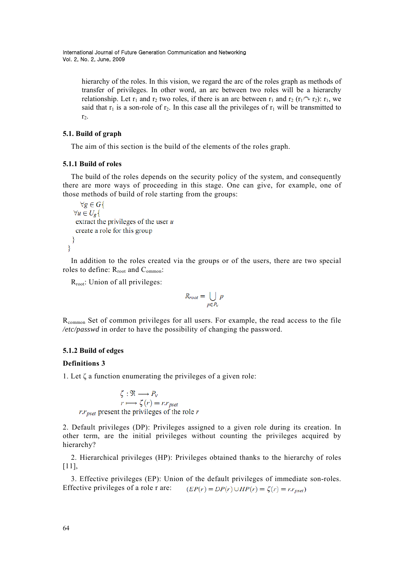> hierarchy of the roles. In this vision, we regard the arc of the roles graph as methods of transfer of privileges. In other word, an arc between two roles will be a hierarchy relationship. Let  $r_1$  and  $r_2$  two roles, if there is an arc between  $r_1$  and  $r_2$  ( $r_1 \sim r_2$ ):  $r_1$ , we said that  $r_1$  is a son-role of  $r_2$ . In this case all the privileges of  $r_1$  will be transmitted to  $r_2$ .

#### **5.1. Build of graph**

The aim of this section is the build of the elements of the roles graph.

#### **5.1.1 Build of roles**

The build of the roles depends on the security policy of the system, and consequently there are more ways of proceeding in this stage. One can give, for example, one of those methods of build of role starting from the groups:

```
\forall g \in G\{\forall u \in U_{\mathbf{g}}\{extract the privileges of the user ucreate a role for this group
₹
```
In addition to the roles created via the groups or of the users, there are two special roles to define: R<sub>root</sub> and C<sub>ommon</sub>:

R<sub>root</sub>: Union of all privileges:

$$
R_{root} = \bigcup_{p \in P_V} p
$$

R<sub>common</sub> Set of common privileges for all users. For example, the read access to the file */etc/passwd* in order to have the possibility of changing the password.

## **5.1.2 Build of edges**

#### **Definitions 3**

ÿ

1. Let ζ a function enumerating the privileges of a given role:

 $\zeta : \mathfrak{R} \longrightarrow P_v$  $r \mapsto \zeta(r) = r \cdot r_{pset}$ <br>r: $r_{pset}$  present the privileges of the role r

2. Default privileges (DP): Privileges assigned to a given role during its creation. In other term, are the initial privileges without counting the privileges acquired by hierarchy?

2. Hierarchical privileges (HP): Privileges obtained thanks to the hierarchy of roles [11],

3. Effective privileges (EP): Union of the default privileges of immediate son-roles. Effective privileges of a role r are:  $(EP(r) = DP(r) \cup HP(r) = \zeta(r) = r \cdot r_{pset})$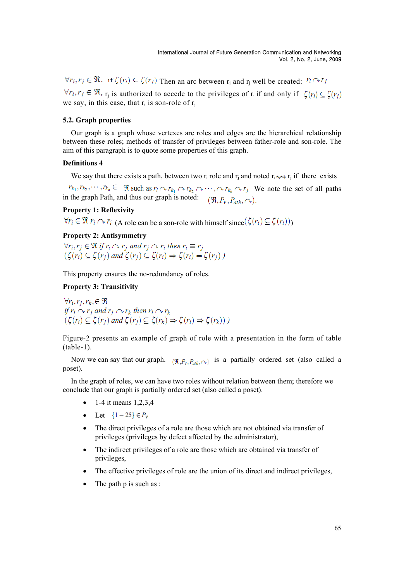$\forall r_i, r_i \in \Re$ . if  $\zeta(r_i) \subseteq \zeta(r_j)$  Then an arc between  $r_i$  and  $r_j$  well be created:  $r_i \wedge r_j$  $\forall r_i, r_j \in \Re$ ,  $r_i$  is authorized to accede to the privileges of  $r_i$  if and only if  $\zeta(r_i) \subseteq \zeta(r_i)$ we say, in this case, that  $r_i$  is son-role of  $r_i$ .

#### **5.2. Graph properties**

Our graph is a graph whose vertexes are roles and edges are the hierarchical relationship between these roles; methods of transfer of privileges between father-role and son-role. The aim of this paragraph is to quote some properties of this graph.

### **Definitions 4**

We say that there exists a path, between two r<sub>i</sub> role and r<sub>i</sub> and noted r<sub>i</sub> $\sim$ <sub>i</sub> if there exists

 $r_{k_1}, r_{k_2}, \dots, r_{k_n} \in \mathbb{R}$  such as  $r_i \sim r_{k_1} \sim r_{k_2} \sim \dots \sim r_{k_n} \sim r_j$  We note the set of all paths in the graph Path, and thus our graph is noted:  $(\Re, P_v, P_{ath}, \curvearrowright)$ .

## **Property 1: Reflexivity**

 $\forall r_i \in \Re r_i \cap r_i$  (A role can be a son-role with himself since  $(\zeta(r_i) \subseteq \zeta(r_i))$ )

## **Property 2: Antisymmetry**

 $\forall r_i, r_i \in \Re \text{ if } r_i \sim r_i \text{ and } r_i \sim r_i \text{ then } r_i \equiv r_i$  $(\zeta(r_i) \subseteq \zeta(r_j)$  and  $\zeta(r_j) \subseteq \zeta(r_i) \Rightarrow \zeta(r_i) = \zeta(r_j)$ )

This property ensures the no-redundancy of roles.

#### **Property 3: Transitivity**

 $\forall r_i, r_i, r_k \in \Re$ if  $r_i \sim r_j$  and  $r_j \sim r_k$  then  $r_i \sim r_k$  $\zeta(\zeta(r_i) \subseteq \zeta(r_j)$  and  $\zeta(r_j) \subseteq \zeta(r_k) \Rightarrow \zeta(r_i) \Rightarrow \zeta(r_k))$ )

Figure-2 presents an example of graph of role with a presentation in the form of table  $(table-1)$ .

Now we can say that our graph.  $(\Re P_v, P_{ab}, \cap)$  is a partially ordered set (also called a poset).

In the graph of roles, we can have two roles without relation between them; therefore we conclude that our graph is partially ordered set (also called a poset).

- 1-4 it means  $1,2,3,4$
- Let  $\{1 25\} \in P_v$
- The direct privileges of a role are those which are not obtained via transfer of privileges (privileges by defect affected by the administrator),
- The indirect privileges of a role are those which are obtained via transfer of privileges,
- The effective privileges of role are the union of its direct and indirect privileges,
- $\bullet$  The path p is such as :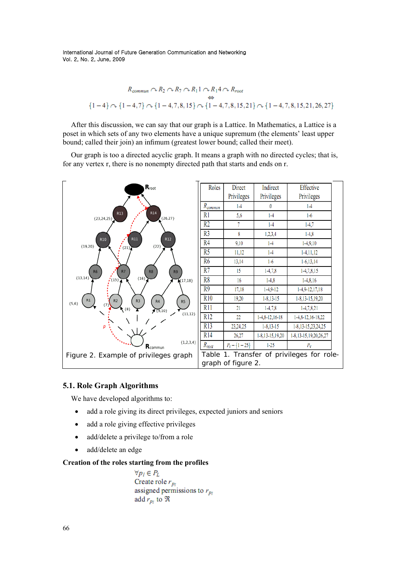$$
R_{common} \cap R_2 \cap R_7 \cap R_11 \cap R_14 \cap R_{root}
$$
  

$$
\Leftrightarrow
$$
  

$$
\{1-4\} \cap \{1-4,7\} \cap \{1-4,7,8,15\} \cap \{1-4,7,8,15,21\} \cap \{1-4,7,8,15,21,26,27\}
$$

After this discussion, we can say that our graph is a Lattice. In Mathematics, a Lattice is a poset in which sets of any two elements have a unique supremum (the elements' least upper bound; called their join) an infimum (greatest lower bound; called their meet).

Our graph is too a directed acyclic graph. It means a graph with no directed cycles; that is, for any vertex r, there is no nonempty directed path that starts and ends on r.



| Roles                                     | Direct             | Indirect         | Effective                  |
|-------------------------------------------|--------------------|------------------|----------------------------|
|                                           | Privileges         | Privileges       | Privileges                 |
| R <sub>common</sub>                       | $1-4$              | 0                | $1-4$                      |
| R1                                        | 5,6                | $1-4$            | $1-6$                      |
| $\overline{R2}$                           | 7                  | $1 - 4$          | $1-4,7$                    |
| R <sub>3</sub>                            | 8                  | 1,2,3,4          | $1-4,8$                    |
| R4                                        | 9,10               | $1 - 4$          | $1-4,9,10$                 |
| R5                                        | 11,12              | $1 - 4$          | $1-4, 11, 12$              |
| $\overline{R6}$                           | 13,14              | $1-6$            | $1-6, 13, 14$              |
| $\overline{R7}$                           | 15                 | $1-4,7,8$        | $1-4,7,8,15$               |
| R8                                        | 16                 | $1-4,8$          | $1-4,8,16$                 |
| $\overline{R9}$                           | 17,18              | $1 - 4.9 - 12$   | $1-4,9-12,17,18$           |
| R10                                       | 19,20              | $1 - 8, 13 - 15$ | 1-8,13-15,19,20            |
| R11                                       | 21                 | $1-4,7,8$        | $1-4,7,8,21$               |
| R12                                       | 22                 | 1-4,8-12,16-18   | $1-4, 8-12, 16-18, 22$     |
| R13                                       | 23,24,25           | $1 - 8, 13 - 15$ | 1-8, 13-15, 23, 24, 25     |
| R14                                       | 26,27              | 1-8,13-15,19,20  | 1-8, 13-15, 19, 20, 26, 27 |
| $R_{root}$                                | $P_v - \{1 - 25\}$ | $1 - 25$         | $P_{\rm v}$                |
| Table 1. Transfer of privileges for role- |                    |                  |                            |
| graph of figure 2.                        |                    |                  |                            |

## **5.1. Role Graph Algorithms**

We have developed algorithms to:

- add a role giving its direct privileges, expected juniors and seniors
- add a role giving effective privileges
- add/delete a privilege to/from a role
- add/delete an edge

## **Creation of the roles starting from the profiles**

 $\forall p_l \in P_L$ Create role  $r_{p_l}$ assigned permissions to  $r_{p_l}$ add  $r_{p_l}$  to  $\Re$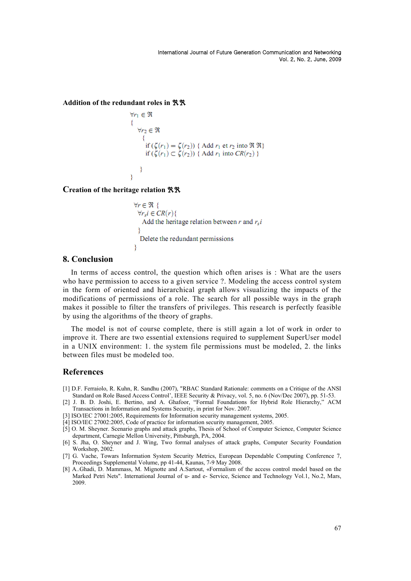**Addition of the redundant roles in** ℜℜ

```
\forall r_1 \in \Re{\forall r_2 \in \Reif (\zeta(r_1) = \zeta(r_2)) { Add r_1 et r_2 into \Re \Re}<br>if (\zeta(r_1) \subset \zeta(r_2)) { Add r_1 into CR(r_2) }
         }
3
```
**Creation of the heritage relation** ℜℜ

```
\forall r \in \Re {
 \forall r, i \in CR(r)Add the heritage relation between r and r_s iY
  Delete the redundant permissions
ÿ
```
#### **8. Conclusion**

In terms of access control, the question which often arises is : What are the users who have permission to access to a given service ?. Modeling the access control system in the form of oriented and hierarchical graph allows visualizing the impacts of the modifications of permissions of a role. The search for all possible ways in the graph makes it possible to filter the transfers of privileges. This research is perfectly feasible by using the algorithms of the theory of graphs.

The model is not of course complete, there is still again a lot of work in order to improve it. There are two essential extensions required to supplement SuperUser model in a UNIX environment: 1. the system file permissions must be modeled, 2. the links between files must be modeled too.

#### **References**

- [1] D.F. Ferraiolo, R. Kuhn, R. Sandhu (2007), "RBAC Standard Rationale: comments on a Critique of the ANSI Standard on Role Based Access Control', IEEE Security & Privacy, vol. 5, no. 6 (Nov/Dec 2007), pp. 51-53.
- [2] J. B. D. Joshi, E. Bertino, and A. Ghafoor, "Formal Foundations for Hybrid Role Hierarchy," ACM Transactions in Information and Systems Security, in print for Nov. 2007.
- [3] ISO/IEC 27001:2005, Requirements for Information security management systems, 2005.
- [4] ISO/IEC 27002:2005, Code of practice for information security management, 2005.
- [5] O. M. Sheyner. Scenario graphs and attack graphs, Thesis of School of Computer Science, Computer Science department, Carnegie Mellon University, Pittsburgh, PA, 2004.
- [6] S. Jha, O. Sheyner and J. Wing, Two formal analyses of attack graphs, Computer Security Foundation Workshop, 2002.
- [7] G. Vache, Towars Information System Security Metrics, European Dependable Computing Conference 7, Proceedings Supplemental Volume, pp 41-44, Kaunas, 7-9 May 2008.
- [8] A..Ghadi, D. Mammass, M. Mignotte and A.Sartout, «Formalism of the access control model based on the Marked Petri Nets". International Journal of u- and e- Service, Science and Technology Vol.1, No.2, Mars, 2009.